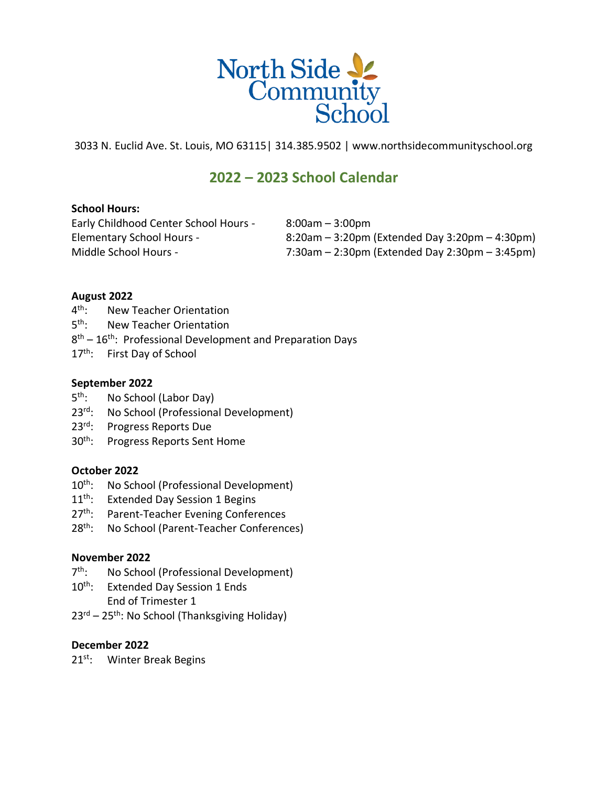

3033 N. Euclid Ave. St. Louis, MO 63115| 314.385.9502 | www.northsidecommunityschool.org

# **2022 – 2023 School Calendar**

## **School Hours:**

Early Childhood Center School Hours - 8:00am – 3:00pm

Elementary School Hours - 8:20am – 3:20pm (Extended Day 3:20pm – 4:30pm) Middle School Hours - 7:30am – 2:30pm (Extended Day 2:30pm – 3:45pm)

## **August 2022**

- $4^{\text{th}}$ : New Teacher Orientation
- $5<sup>th</sup>$ : New Teacher Orientation
- 8<sup>th</sup> 16<sup>th</sup>: Professional Development and Preparation Days
- 17<sup>th</sup>: First Day of School

## **September 2022**

- $5^{\text{th}}$ : No School (Labor Day)
- 23<sup>rd</sup>: No School (Professional Development)
- 23<sup>rd</sup>: Progress Reports Due
- 30th: Progress Reports Sent Home

## **October 2022**

- 10<sup>th</sup>: No School (Professional Development)
- 11<sup>th</sup>: Extended Day Session 1 Begins
- 27<sup>th</sup>: Parent-Teacher Evening Conferences
- 28<sup>th</sup>: No School (Parent-Teacher Conferences)

### **November 2022**

- $7^{\text{th}}$ : No School (Professional Development)
- 10<sup>th</sup>: Extended Day Session 1 Ends
	- End of Trimester 1
- $23<sup>rd</sup> 25<sup>th</sup>$ : No School (Thanksgiving Holiday)

## **December 2022**

21<sup>st</sup>: Winter Break Begins